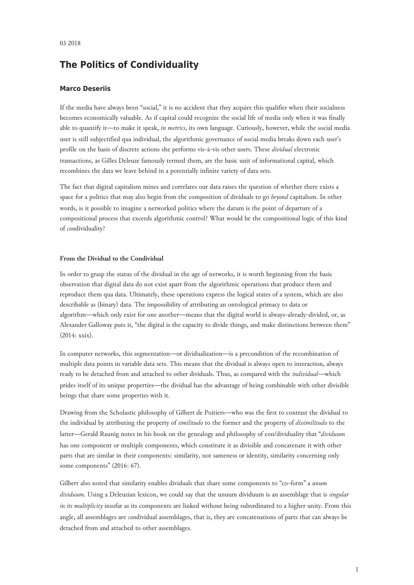# **The Politics of Condividuality**

## **Marco Deseriis**

If the media have always been "social," it is no accident that they acquire this qualifier when their socialness becomes economically valuable. As if capital could recognize the social life of media only when it was finally able to quantify it—to make it speak, *in metrics*, its own language. Curiously, however, while the social media user is still subjectified qua individual, the algorithmic governance of social media breaks down each user's profile on the basis of discrete actions she performs vis-à-vis other users. These *dividual* electronic transactions, as Gilles Deleuze famously termed them, are the basic unit of informational capital, which recombines the data we leave behind in a potentially infinite variety of data sets.

The fact that digital capitalism mines and correlates our data raises the question of whether there exists a space for a politics that may also begin from the composition of dividuals to go *beyond* capitalism. In other words, is it possible to imagine a networked politics where the datum is the point of departure of a compositional process that exceeds algorithmic control? What would be the compositional logic of this kind of *con*dividuality?

## **From the Dividual to the Condividual**

In order to grasp the status of the dividual in the age of networks, it is worth beginning from the basic observation that digital data do not exist apart from the algorithmic operations that produce them and reproduce them qua data. Ultimately, these operations express the logical states of a system, which are also describable as (binary) data. The impossibility of attributing an ontological primacy to data or algorithm—which only exist for one another—means that the digital world is always-already-divided, or, as Alexander Galloway puts it, "the digital is the capacity to divide things, and make distinctions between them" (2014: xxix).

In computer networks, this segmentation—or dividualization—is a precondition of the recombination of multiple data points in variable data sets. This means that the dividual is always open to interaction, always ready to be detached from and attached to other dividuals. Thus, as compared with the *individual*—which prides itself of its unique properties—the dividual has the advantage of being combinable with other divisible beings that share some properties with it.

Drawing from the Scholastic philosophy of Gilbert de Poitiers—who was the first to contrast the dividual to the individual by attributing the property of *similitudo* to the former and the property of *dissimilitudo* to the latter—Gerald Raunig notes in his book on the genealogy and philosophy of con/dividuality that "*dividuum* has one component or multiple components, which constitute it as divisible and concatenate it with other parts that are similar in their components: similarity, not sameness or identity, similarity concerning only some components" (2016: 67).

Gilbert also noted that similarity enables dividuals that share some components to "co-form" a *unum dividuum*. Using a Deleuzian lexicon, we could say that the unuum dividuum is an assemblage that is *singular in its multiplicity* insofar as its components are linked without being subordinated to a higher unity. From this angle, all assemblages are *con*dividual assemblages, that is, they are concatenations of parts that can always be detached from and attached to other assemblages.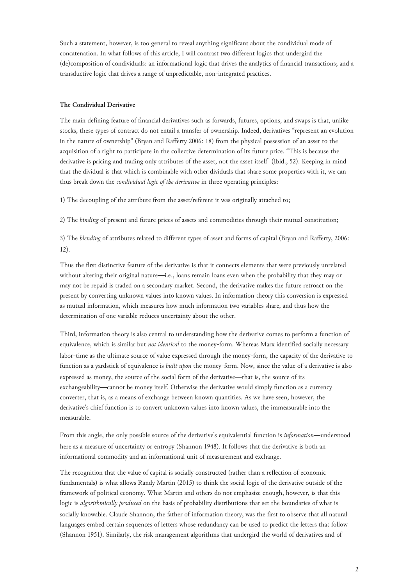Such a statement, however, is too general to reveal anything significant about the condividual mode of concatenation. In what follows of this article, I will contrast two different logics that undergird the (de)composition of condividuals: an informational logic that drives the analytics of financial transactions; and a transductive logic that drives a range of unpredictable, non-integrated practices.

#### **The Condividual Derivative**

The main defining feature of financial derivatives such as forwards, futures, options, and swaps is that, unlike stocks, these types of contract do not entail a transfer of ownership. Indeed, derivatives "represent an evolution in the nature of ownership" (Bryan and Rafferty 2006: 18) from the physical possession of an asset to the acquisition of a right to participate in the collective determination of its future price. "This is because the derivative is pricing and trading only attributes of the asset, not the asset itself" (Ibid., 52). Keeping in mind that the dividual is that which is combinable with other dividuals that share some properties with it, we can thus break down the *condividual logic of the derivative* in three operating principles:

1) The decoupling of the attribute from the asset/referent it was originally attached to;

2) The *binding* of present and future prices of assets and commodities through their mutual constitution;

3) The *blending* of attributes related to different types of asset and forms of capital (Bryan and Rafferty, 2006: 12).

Thus the first distinctive feature of the derivative is that it connects elements that were previously unrelated without altering their original nature—i.e., loans remain loans even when the probability that they may or may not be repaid is traded on a secondary market. Second, the derivative makes the future retroact on the present by converting unknown values into known values. In information theory this conversion is expressed as mutual information, which measures how much information two variables share, and thus how the determination of one variable reduces uncertainty about the other.

Third, information theory is also central to understanding how the derivative comes to perform a function of equivalence, which is similar but *not identical* to the money-form. Whereas Marx identified socially necessary labor-time as the ultimate source of value expressed through the money-form, the capacity of the derivative to function as a yardstick of equivalence is *built upon* the money-form. Now, since the value of a derivative is also expressed as money, the source of the social form of the derivative—that is, the source of its exchangeability—cannot be money itself. Otherwise the derivative would simply function as a currency converter, that is, as a means of exchange between known quantities. As we have seen, however, the derivative's chief function is to convert unknown values into known values, the immeasurable into the measurable.

From this angle, the only possible source of the derivative's equivalential function is *information*—understood here as a measure of uncertainty or entropy (Shannon 1948). It follows that the derivative is both an informational commodity and an informational unit of measurement and exchange.

The recognition that the value of capital is socially constructed (rather than a reflection of economic fundamentals) is what allows Randy Martin (2015) to think the social logic of the derivative outside of the framework of political economy. What Martin and others do not emphasize enough, however, is that this logic is *algorithmically produced* on the basis of probability distributions that set the boundaries of what is socially knowable. Claude Shannon, the father of information theory, was the first to observe that all natural languages embed certain sequences of letters whose redundancy can be used to predict the letters that follow (Shannon 1951). Similarly, the risk management algorithms that undergird the world of derivatives and of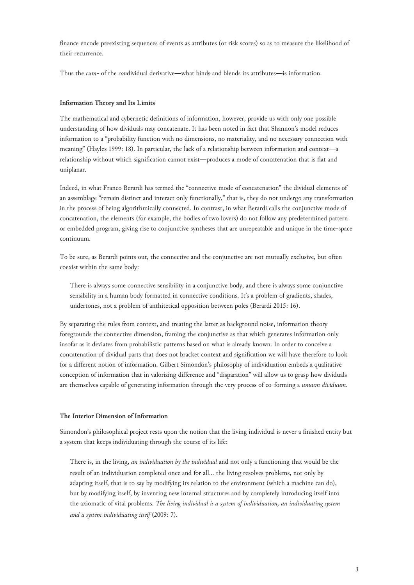finance encode preexisting sequences of events as attributes (or risk scores) so as to measure the likelihood of their recurrence.

Thus the *cum-* of the *con*dividual derivative—what binds and blends its attributes—is information.

## **Information Theory and Its Limits**

The mathematical and cybernetic definitions of information, however, provide us with only one possible understanding of how dividuals may concatenate. It has been noted in fact that Shannon's model reduces information to a "probability function with no dimensions, no materiality, and no necessary connection with meaning" (Hayles 1999: 18). In particular, the lack of a relationship between information and context—a relationship without which signification cannot exist—produces a mode of concatenation that is flat and uniplanar.

Indeed, in what Franco Berardi has termed the "connective mode of concatenation" the dividual elements of an assemblage "remain distinct and interact only functionally," that is, they do not undergo any transformation in the process of being algorithmically connected. In contrast, in what Berardi calls the conjunctive mode of concatenation, the elements (for example, the bodies of two lovers) do not follow any predetermined pattern or embedded program, giving rise to conjunctive syntheses that are unrepeatable and unique in the time-space continuum.

To be sure, as Berardi points out, the connective and the conjunctive are not mutually exclusive, but often coexist within the same body:

There is always some connective sensibility in a conjunctive body, and there is always some conjunctive sensibility in a human body formatted in connective conditions. It's a problem of gradients, shades, undertones, not a problem of anthitetical opposition between poles (Berardi 2015: 16).

By separating the rules from context, and treating the latter as background noise, information theory foregrounds the connective dimension, framing the conjunctive as that which generates information only insofar as it deviates from probabilistic patterns based on what is already known. In order to conceive a concatenation of dividual parts that does not bracket context and signification we will have therefore to look for a different notion of information. Gilbert Simondon's philosophy of individuation embeds a qualitative conception of information that in valorizing difference and "disparation" will allow us to grasp how dividuals are themselves capable of generating information through the very process of co-forming a *unuum dividuum*.

### **The Interior Dimension of Information**

Simondon's philosophical project rests upon the notion that the living individual is never a finished entity but a system that keeps individuating through the course of its life:

There is, in the living, *an individuation by the individual* and not only a functioning that would be the result of an individuation completed once and for all… the living resolves problems, not only by adapting itself, that is to say by modifying its relation to the environment (which a machine can do), but by modifying itself, by inventing new internal structures and by completely introducing itself into the axiomatic of vital problems. *The living individual is a system of individuation, an individuating system and a system individuating itself* (2009: 7).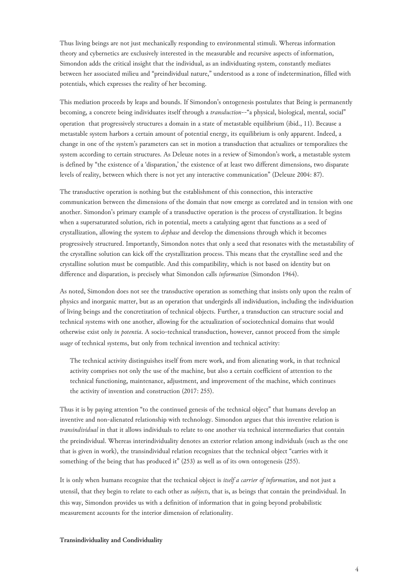Thus living beings are not just mechanically responding to environmental stimuli. Whereas information theory and cybernetics are exclusively interested in the measurable and recursive aspects of information, Simondon adds the critical insight that the individual, as an individuating system, constantly mediates between her associated milieu and "preindividual nature," understood as a zone of indetermination, filled with potentials, which expresses the reality of her becoming.

This mediation proceeds by leaps and bounds. If Simondon's ontogenesis postulates that Being is permanently becoming, a concrete being individuates itself through a *transduction*--"a physical, biological, mental, social" operation that progressively structures a domain in a state of metastable equilibrium (ibid., 11). Because a metastable system harbors a certain amount of potential energy, its equilibrium is only apparent. Indeed, a change in one of the system's parameters can set in motion a transduction that actualizes or temporalizes the system according to certain structures. As Deleuze notes in a review of Simondon's work, a metastable system is defined by "the existence of a 'disparation,' the existence of at least two different dimensions, two disparate levels of reality, between which there is not yet any interactive communication" (Deleuze 2004: 87).

The transductive operation is nothing but the establishment of this connection, this interactive communication between the dimensions of the domain that now emerge as correlated and in tension with one another. Simondon's primary example of a transductive operation is the process of crystallization. It begins when a supersaturated solution, rich in potential, meets a catalyzing agent that functions as a seed of crystallization, allowing the system to *dephase* and develop the dimensions through which it becomes progressively structured. Importantly, Simondon notes that only a seed that resonates with the metastability of the crystalline solution can kick off the crystallization process. This means that the crystalline seed and the crystalline solution must be compatible. And this compatibility, which is not based on identity but on difference and disparation, is precisely what Simondon calls *information* (Simondon 1964).

As noted, Simondon does not see the transductive operation as something that insists only upon the realm of physics and inorganic matter, but as an operation that undergirds all individuation, including the individuation of living beings and the concretization of technical objects. Further, a transduction can structure social and technical systems with one another, allowing for the actualization of sociotechnical domains that would otherwise exist only *in potentia*. A socio-technical transduction, however, cannot proceed from the simple *usage* of technical systems, but only from technical invention and technical activity:

The technical activity distinguishes itself from mere work, and from alienating work, in that technical activity comprises not only the use of the machine, but also a certain coefficient of attention to the technical functioning, maintenance, adjustment, and improvement of the machine, which continues the activity of invention and construction (2017: 255).

Thus it is by paying attention "to the continued genesis of the technical object" that humans develop an inventive and non-alienated relationship with technology. Simondon argues that this inventive relation is *transindividual* in that it allows individuals to relate to one another via technical intermediaries that contain the preindividual. Whereas interindividuality denotes an exterior relation among individuals (such as the one that is given in work), the transindividual relation recognizes that the technical object "carries with it something of the being that has produced it" (253) as well as of its own ontogenesis (255).

It is only when humans recognize that the technical object is *itself a carrier of information*, and not just a utensil, that they begin to relate to each other as *subjects*, that is, as beings that contain the preindividual. In this way, Simondon provides us with a definition of information that in going beyond probabilistic measurement accounts for the interior dimension of relationality.

**Transindividuality and Condividuality**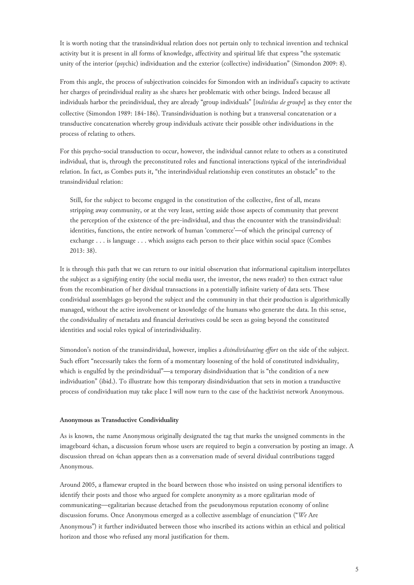It is worth noting that the transindividual relation does not pertain only to technical invention and technical activity but it is present in all forms of knowledge, affectivity and spiritual life that express "the systematic unity of the interior (psychic) individuation and the exterior (collective) individuation" (Simondon 2009: 8).

From this angle, the process of subjectivation coincides for Simondon with an individual's capacity to activate her charges of preindividual reality as she shares her problematic with other beings. Indeed because all individuals harbor the preindividual, they are already "group individuals" [*individus de groupe*] as they enter the collective (Simondon 1989: 184-186). Transindividuation is nothing but a transversal concatenation or a transductive concatenation whereby group individuals activate their possible other individuations in the process of relating to others.

For this psycho-social transduction to occur, however, the individual cannot relate to others as a constituted individual, that is, through the preconstituted roles and functional interactions typical of the interindividual relation. In fact, as Combes puts it, "the interindividual relationship even constitutes an obstacle" to the transindividual relation:

Still, for the subject to become engaged in the constitution of the collective, first of all, means stripping away community, or at the very least, setting aside those aspects of community that prevent the perception of the existence of the pre-individual, and thus the encounter with the transindividual: identities, functions, the entire network of human 'commerce'—of which the principal currency of exchange . . . is language . . . which assigns each person to their place within social space (Combes 2013: 38).

It is through this path that we can return to our initial observation that informational capitalism interpellates the subject as a signifying entity (the social media user, the investor, the news reader) to then extract value from the recombination of her dividual transactions in a potentially infinite variety of data sets. These condividual assemblages go beyond the subject and the community in that their production is algorithmically managed, without the active involvement or knowledge of the humans who generate the data. In this sense, the condividuality of metadata and financial derivatives could be seen as going beyond the constituted identities and social roles typical of interindividuality.

Simondon's notion of the transindividual, however, implies a *disindividuating effort* on the side of the subject. Such effort "necessarily takes the form of a momentary loosening of the hold of constituted individuality, which is engulfed by the preindividual"—a temporary disindividuation that is "the condition of a new individuation" (ibid.). To illustrate how this temporary disindividuation that sets in motion a trandusctive process of condividuation may take place I will now turn to the case of the hacktivist network Anonymous.

#### **Anonymous as Transductive Condividuality**

As is known, the name Anonymous originally designated the tag that marks the unsigned comments in the imageboard 4chan, a discussion forum whose users are required to begin a conversation by posting an image. A discussion thread on 4chan appears then as a conversation made of several dividual contributions tagged Anonymous.

Around 2005, a flamewar erupted in the board between those who insisted on using personal identifiers to identify their posts and those who argued for complete anonymity as a more egalitarian mode of communicating—egalitarian because detached from the pseudonymous reputation economy of online discussion forums. Once Anonymous emerged as a collective assemblage of enunciation ("*We* Are Anonymous") it further individuated between those who inscribed its actions within an ethical and political horizon and those who refused any moral justification for them.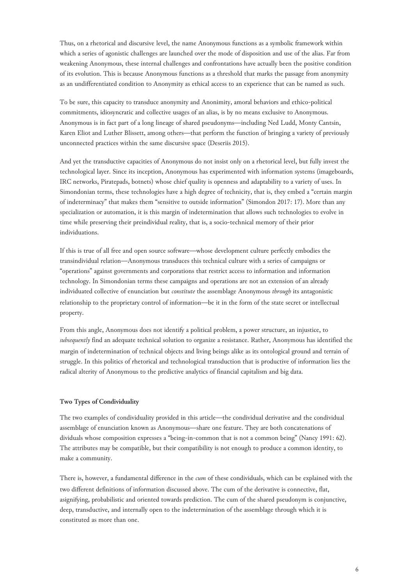Thus, on a rhetorical and discursive level, the name Anonymous functions as a symbolic framework within which a series of agonistic challenges are launched over the mode of disposition and use of the alias. Far from weakening Anonymous, these internal challenges and confrontations have actually been the positive condition of its evolution. This is because Anonymous functions as a threshold that marks the passage from anonymity as an undifferentiated condition to Anonymity as ethical access to an experience that can be named as such.

To be sure, this capacity to transduce anonymity and Anonimity, amoral behaviors and ethico-political commitments, idiosyncratic and collective usages of an alias, is by no means exclusive to Anonymous. Anonymous is in fact part of a long lineage of shared pseudonyms—including Ned Ludd, Monty Cantsin, Karen Eliot and Luther Blissett, among others—that perform the function of bringing a variety of previously unconnected practices within the same discursive space (Deseriis 2015).

And yet the transductive capacities of Anonymous do not insist only on a rhetorical level, but fully invest the technological layer. Since its inception, Anonymous has experimented with information systems (imageboards, IRC networks, Piratepads, botnets) whose chief quality is openness and adaptability to a variety of uses. In Simondonian terms, these technologies have a high degree of technicity, that is, they embed a "certain margin of indeterminacy" that makes them "sensitive to outside information" (Simondon 2017: 17). More than any specialization or automation, it is this margin of indetermination that allows such technologies to evolve in time while preserving their preindividual reality, that is, a socio-technical memory of their prior individuations.

If this is true of all free and open source software—whose development culture perfectly embodies the transindividual relation—Anonymous transduces this technical culture with a series of campaigns or "operations" against governments and corporations that restrict access to information and information technology. In Simondonian terms these campaigns and operations are not an extension of an already individuated collective of enunciation but *constitute* the assemblage Anonymous *through* its antagonistic relationship to the proprietary control of information—be it in the form of the state secret or intellectual property.

From this angle, Anonymous does not identify a political problem, a power structure, an injustice, to *subsequently* find an adequate technical solution to organize a resistance. Rather, Anonymous has identified the margin of indetermination of technical objects and living beings alike as its ontological ground and terrain of struggle. In this politics of rhetorical and technological transduction that is productive of information lies the radical alterity of Anonymous to the predictive analytics of financial capitalism and big data.

#### **Two Types of Condividuality**

The two examples of condividuality provided in this article—the condividual derivative and the condividual assemblage of enunciation known as Anonymous—share one feature. They are both concatenations of dividuals whose composition expresses a "being-in-common that is not a common being" (Nancy 1991: 62). The attributes may be compatible, but their compatibility is not enough to produce a common identity, to make a community.

There is, however, a fundamental difference in the *cum* of these condividuals, which can be explained with the two different definitions of information discussed above. The cum of the derivative is connective, flat, asignifying, probabilistic and oriented towards prediction. The cum of the shared pseudonym is conjunctive, deep, transductive, and internally open to the indetermination of the assemblage through which it is constituted as more than one.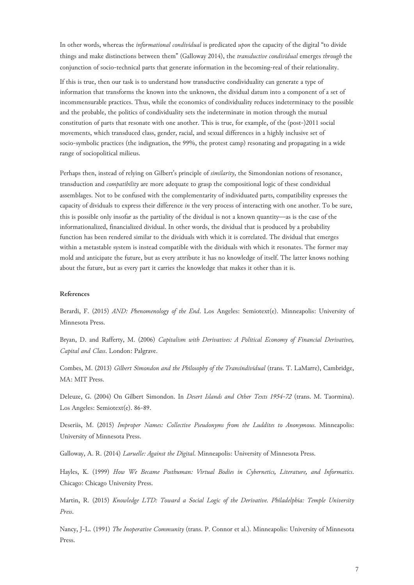In other words, whereas the *informational condividual* is predicated *upon* the capacity of the digital "to divide things and make distinctions between them" (Galloway 2014), the *transductive condividual* emerges *through* the conjunction of socio-technical parts that generate information in the becoming-real of their relationality.

If this is true, then our task is to understand how transductive condividuality can generate a type of information that transforms the known into the unknown, the dividual datum into a component of a set of incommensurable practices. Thus, while the economics of condividuality reduces indeterminacy to the possible and the probable, the politics of condividuality sets the indeterminate in motion through the mutual constitution of parts that resonate with one another. This is true, for example, of the (post-)2011 social movements, which transduced class, gender, racial, and sexual differences in a highly inclusive set of socio-symbolic practices (the indignation, the 99%, the protest camp) resonating and propagating in a wide range of sociopolitical milieus.

Perhaps then, instead of relying on Gilbert's principle of *similarity*, the Simondonian notions of resonance, transduction and *compatibility* are more adequate to grasp the compositional logic of these condividual assemblages. Not to be confused with the complementarity of individuated parts, compatibility expresses the capacity of dividuals to express their difference *in* the very process of interacting with one another. To be sure, this is possible only insofar as the partiality of the dividual is not a known quantity—as is the case of the informationalized, financialized dividual. In other words, the dividual that is produced by a probability function has been rendered similar to the dividuals with which it is correlated. The dividual that emerges within a metastable system is instead compatible with the dividuals with which it resonates. The former may mold and anticipate the future, but as every attribute it has no knowledge of itself. The latter knows nothing about the future, but as every part it carries the knowledge that makes it other than it is.

### **References**

Berardi, F. (2015) *AND: Phenomenology of the End*. Los Angeles: Semiotext(e). Minneapolis: University of Minnesota Press.

Bryan, D. and Rafferty, M. (2006) *Capitalism with Derivatives: A Political Economy of Financial Derivatives, Capital and Class*. London: Palgrave.

Combes, M. (2013) *Gilbert Simondon and the Philosophy of the Transindividual* (trans. T. LaMarre), Cambridge, MA: MIT Press.

Deleuze, G. (2004) On Gilbert Simondon. In *Desert Islands and Other Texts 1954-72* (trans. M. Taormina). Los Angeles: Semiotext(e). 86-89.

Deseriis, M. (2015) *Improper Names: Collective Pseudonyms from the Luddites to Anonymous*. Minneapolis: University of Minnesota Press.

Galloway, A. R. (2014) *Laruelle: Against the Digital*. Minneapolis: University of Minnesota Press.

Hayles, K. (1999) *How We Became Posthuman: Virtual Bodies in Cybernetics, Literature, and Informatics*. Chicago: Chicago University Press.

Martin, R. (2015) *Knowledge LTD: Toward a Social Logic of the Derivative. Philadelphia: Temple University Press*.

Nancy, J-L. (1991) *The Inoperative Community* (trans. P. Connor et al.)*.* Minneapolis: University of Minnesota Press.